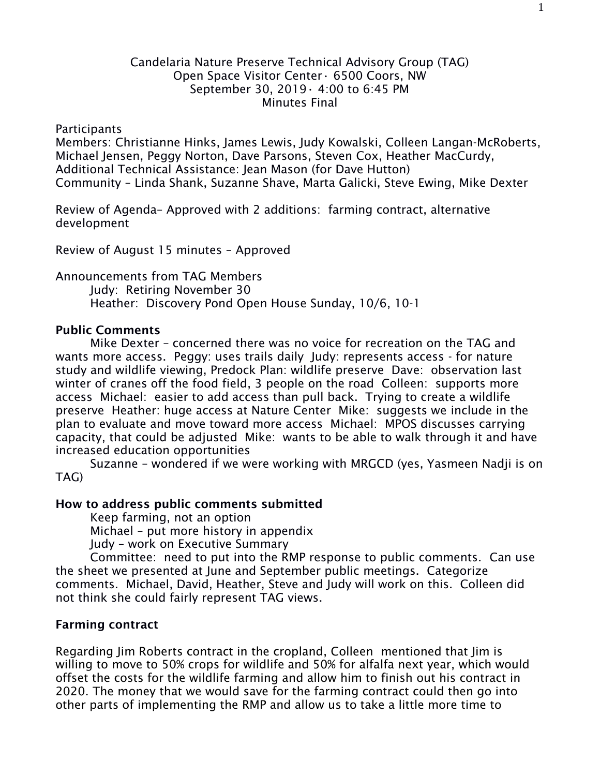## Candelaria Nature Preserve Technical Advisory Group (TAG) Open Space Visitor Center• 6500 Coors, NW September 30, 2019• 4:00 to 6:45 PM Minutes Final

### Participants

Members: Christianne Hinks, James Lewis, Judy Kowalski, Colleen Langan-McRoberts, Michael Jensen, Peggy Norton, Dave Parsons, Steven Cox, Heather MacCurdy, Additional Technical Assistance: Jean Mason (for Dave Hutton) Community – Linda Shank, Suzanne Shave, Marta Galicki, Steve Ewing, Mike Dexter

Review of Agenda– Approved with 2 additions: farming contract, alternative development

Review of August 15 minutes – Approved

Announcements from TAG Members Judy: Retiring November 30 Heather: Discovery Pond Open House Sunday, 10/6, 10-1

## **Public Comments**

Mike Dexter – concerned there was no voice for recreation on the TAG and wants more access. Peggy: uses trails daily Judy: represents access - for nature study and wildlife viewing, Predock Plan: wildlife preserve Dave: observation last winter of cranes off the food field, 3 people on the road Colleen: supports more access Michael: easier to add access than pull back. Trying to create a wildlife preserve Heather: huge access at Nature Center Mike: suggests we include in the plan to evaluate and move toward more access Michael: MPOS discusses carrying capacity, that could be adjusted Mike: wants to be able to walk through it and have increased education opportunities

Suzanne – wondered if we were working with MRGCD (yes, Yasmeen Nadji is on TAG)

#### **How to address public comments submitted**

Keep farming, not an option

Michael – put more history in appendix

Judy – work on Executive Summary

Committee: need to put into the RMP response to public comments. Can use the sheet we presented at June and September public meetings. Categorize comments. Michael, David, Heather, Steve and Judy will work on this. Colleen did not think she could fairly represent TAG views.

## **Farming contract**

Regarding Jim Roberts contract in the cropland, Colleen mentioned that Jim is willing to move to 50% crops for wildlife and 50% for alfalfa next year, which would offset the costs for the wildlife farming and allow him to finish out his contract in 2020. The money that we would save for the farming contract could then go into other parts of implementing the RMP and allow us to take a little more time to